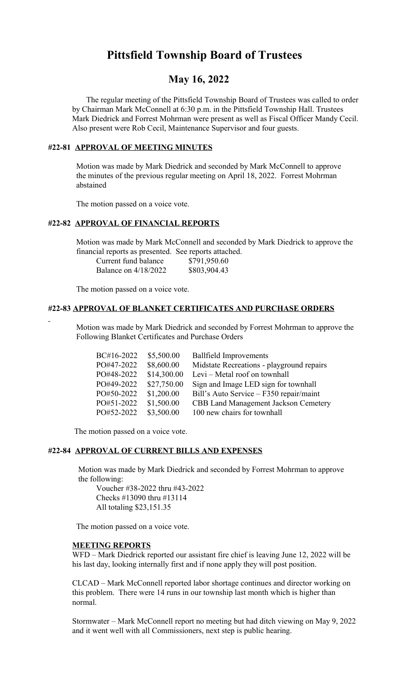# **Pittsfield Township Board of Trustees**

## **May 16, 2022**

 The regular meeting of the Pittsfield Township Board of Trustees was called to order by Chairman Mark McConnell at 6:30 p.m. in the Pittsfield Township Hall. Trustees Mark Diedrick and Forrest Mohrman were present as well as Fiscal Officer Mandy Cecil. Also present were Rob Cecil, Maintenance Supervisor and four guests.

## **#22-81 APPROVAL OF MEETING MINUTES**

 Motion was made by Mark Diedrick and seconded by Mark McConnell to approve the minutes of the previous regular meeting on April 18, 2022. Forrest Mohrman abstained

The motion passed on a voice vote.

### **#22-82 APPROVAL OF FINANCIAL REPORTS**

 Motion was made by Mark McConnell and seconded by Mark Diedrick to approve the financial reports as presented. See reports attached.

| Current fund balance | \$791,950.60 |
|----------------------|--------------|
| Balance on 4/18/2022 | \$803,904.43 |

The motion passed on a voice vote.

#### **#22-83 APPROVAL OF BLANKET CERTIFICATES AND PURCHASE ORDERS**

 Motion was made by Mark Diedrick and seconded by Forrest Mohrman to approve the Following Blanket Certificates and Purchase Orders

| BC#16-2022 | \$5,500.00  | <b>Ballfield Improvements</b>               |
|------------|-------------|---------------------------------------------|
| PO#47-2022 | \$8,600.00  | Midstate Recreations - playground repairs   |
| PO#48-2022 | \$14,300.00 | Levi – Metal roof on townhall               |
| PO#49-2022 | \$27,750.00 | Sign and Image LED sign for townhall        |
| PO#50-2022 | \$1,200.00  | Bill's Auto Service – F350 repair/maint     |
| PO#51-2022 | \$1,500.00  | <b>CBB Land Management Jackson Cemetery</b> |
| PO#52-2022 | \$3,500.00  | 100 new chairs for townhall                 |
|            |             |                                             |

The motion passed on a voice vote.

#### **#22-84 APPROVAL OF CURRENT BILLS AND EXPENSES**

 Motion was made by Mark Diedrick and seconded by Forrest Mohrman to approve the following:

Voucher #38-2022 thru #43-2022 Checks #13090 thru #13114 All totaling \$23,151.35

The motion passed on a voice vote.

#### **MEETING REPORTS**

WFD – Mark Diedrick reported our assistant fire chief is leaving June 12, 2022 will be his last day, looking internally first and if none apply they will post position.

CLCAD – Mark McConnell reported labor shortage continues and director working on this problem. There were 14 runs in our township last month which is higher than normal.

Stormwater – Mark McConnell report no meeting but had ditch viewing on May 9, 2022 and it went well with all Commissioners, next step is public hearing.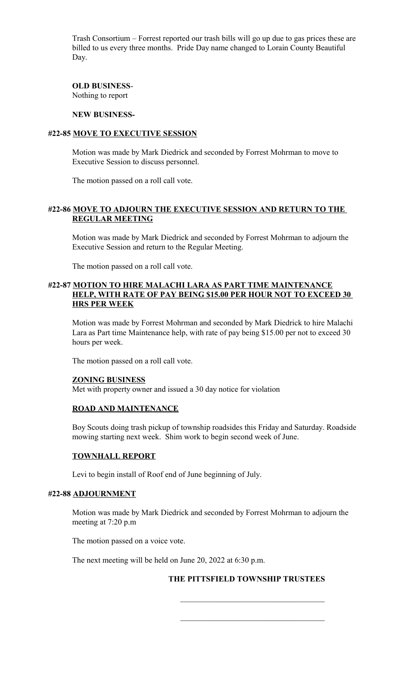Trash Consortium – Forrest reported our trash bills will go up due to gas prices these are billed to us every three months. Pride Day name changed to Lorain County Beautiful Day.

**OLD BUSINESS**-Nothing to report

#### **NEW BUSINESS-**

#### **#22-85 MOVE TO EXECUTIVE SESSION**

Motion was made by Mark Diedrick and seconded by Forrest Mohrman to move to Executive Session to discuss personnel.

The motion passed on a roll call vote.

### **#22-86 MOVE TO ADJOURN THE EXECUTIVE SESSION AND RETURN TO THE REGULAR MEETING**

Motion was made by Mark Diedrick and seconded by Forrest Mohrman to adjourn the Executive Session and return to the Regular Meeting.

The motion passed on a roll call vote.

#### **#22-87 MOTION TO HIRE MALACHI LARA AS PART TIME MAINTENANCE HELP, WITH RATE OF PAY BEING \$15.00 PER HOUR NOT TO EXCEED 30 HRS PER WEEK**

Motion was made by Forrest Mohrman and seconded by Mark Diedrick to hire Malachi Lara as Part time Maintenance help, with rate of pay being \$15.00 per not to exceed 30 hours per week.

The motion passed on a roll call vote.

#### **ZONING BUSINESS**

Met with property owner and issued a 30 day notice for violation

#### **ROAD AND MAINTENANCE**

Boy Scouts doing trash pickup of township roadsides this Friday and Saturday. Roadside mowing starting next week. Shim work to begin second week of June.

#### **TOWNHALL REPORT**

Levi to begin install of Roof end of June beginning of July.

#### **#22-88 ADJOURNMENT**

Motion was made by Mark Diedrick and seconded by Forrest Mohrman to adjourn the meeting at 7:20 p.m

The motion passed on a voice vote.

The next meeting will be held on June 20, 2022 at 6:30 p.m.

 $\mathcal{L}_\text{max}$  and  $\mathcal{L}_\text{max}$  and  $\mathcal{L}_\text{max}$  and  $\mathcal{L}_\text{max}$  and  $\mathcal{L}_\text{max}$  and  $\mathcal{L}_\text{max}$ 

#### **THE PITTSFIELD TOWNSHIP TRUSTEES**